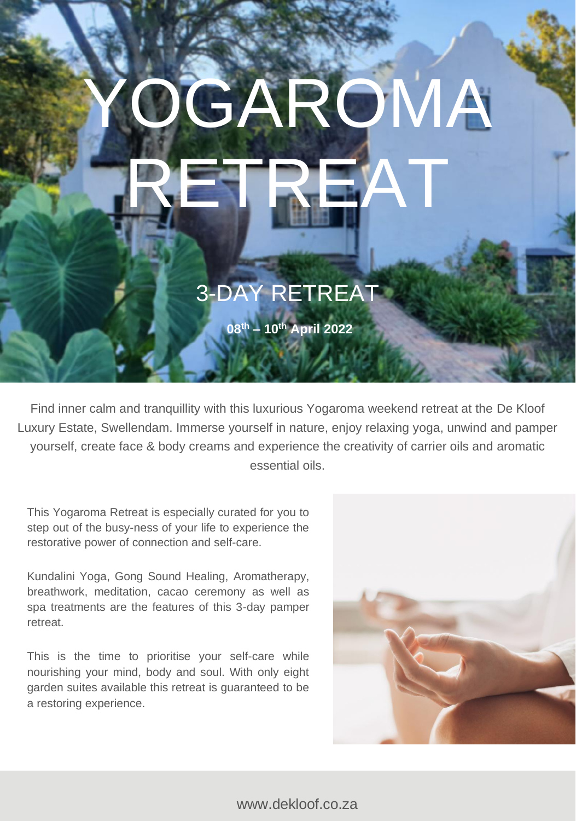# GAROMA RETREAT

## 3-DAY RETREAT

**08th – 10th April 2022**

Find inner calm and tranquillity with this luxurious Yogaroma weekend retreat at the De Kloof Luxury Estate, Swellendam. Immerse yourself in nature, enjoy relaxing yoga, unwind and pamper yourself, create face & body creams and experience the creativity of carrier oils and aromatic essential oils.

This Yogaroma Retreat is especially curated for you to step out of the busy-ness of your life to experience the restorative power of connection and self-care.

Kundalini Yoga, Gong Sound Healing, Aromatherapy, breathwork, meditation, cacao ceremony as well as spa treatments are the features of this 3-day pamper retreat.

This is the time to prioritise your self-care while nourishing your mind, body and soul. With only eight garden suites available this retreat is guaranteed to be a restoring experience.

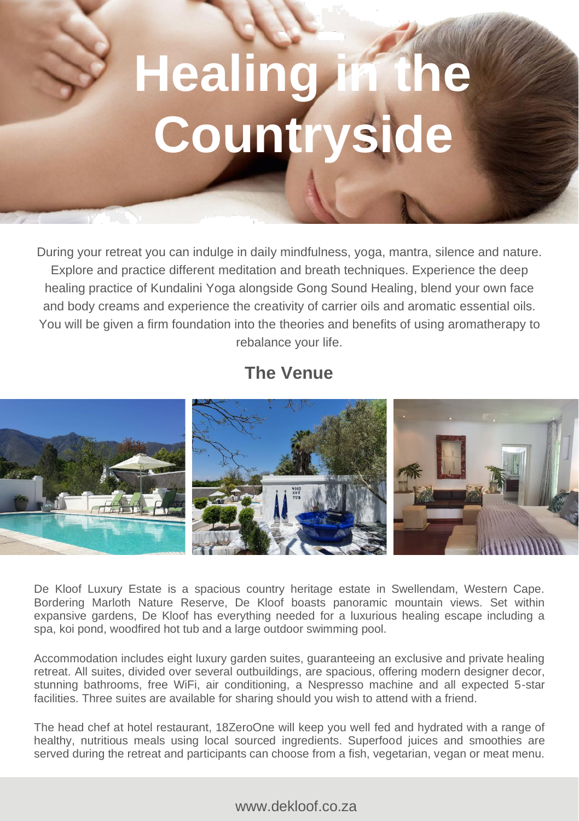## **Healing in the Countryside**

During your retreat you can indulge in daily mindfulness, yoga, mantra, silence and nature. Explore and practice different meditation and breath techniques. Experience the deep healing practice of Kundalini Yoga alongside Gong Sound Healing, blend your own face and body creams and experience the creativity of carrier oils and aromatic essential oils. You will be given a firm foundation into the theories and benefits of using aromatherapy to rebalance your life.

### **The Venue**



De Kloof Luxury Estate is a spacious country heritage estate in Swellendam, Western Cape. Bordering Marloth Nature Reserve, De Kloof boasts panoramic mountain views. Set within expansive gardens, De Kloof has everything needed for a luxurious healing escape including a spa, koi pond, woodfired hot tub and a large outdoor swimming pool.

Accommodation includes eight luxury garden suites, guaranteeing an exclusive and private healing retreat. All suites, divided over several outbuildings, are spacious, offering modern designer decor, stunning bathrooms, free WiFi, air conditioning, a Nespresso machine and all expected 5-star facilities. Three suites are available for sharing should you wish to attend with a friend.

The head chef at hotel restaurant, 18ZeroOne will keep you well fed and hydrated with a range of healthy, nutritious meals using local sourced ingredients. Superfood juices and smoothies are served during the retreat and participants can choose from a fish, vegetarian, vegan or meat menu.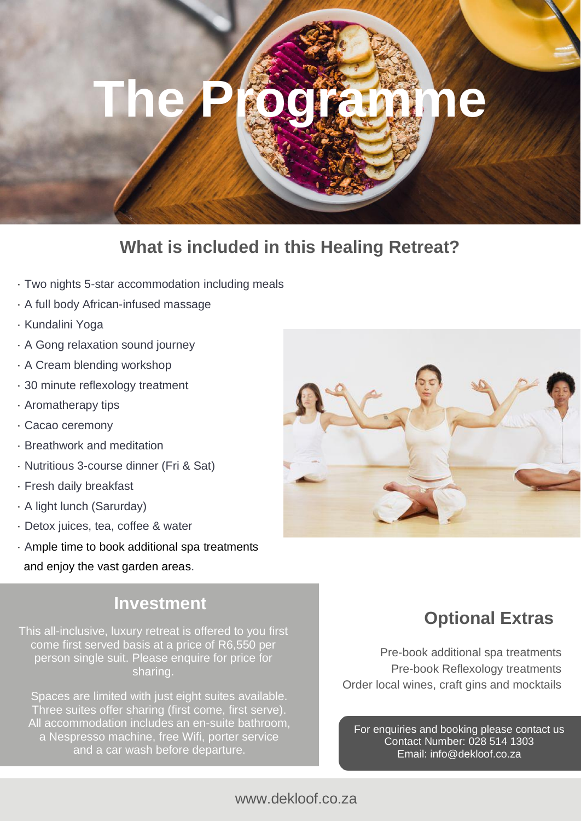## **The Programme**

### **What is included in this Healing Retreat?**

- · Two nights 5-star accommodation including meals
- · A full body African-infused massage
- · Kundalini Yoga
- · A Gong relaxation sound journey
- · A Cream blending workshop
- · 30 minute reflexology treatment
- · Aromatherapy tips
- · Cacao ceremony
- · Breathwork and meditation
- · Nutritious 3-course dinner (Fri & Sat)
- · Fresh daily breakfast
- · A light lunch (Sarurday)
- · Detox juices, tea, coffee & water
- · Ample time to book additional spa treatments and enjoy the vast garden areas.

#### **Investment**

This all-inclusive, luxury retreat is offered to you first come first served basis at a price of R6,550 per person single suit. Please enquire for price for sharing.

Spaces are limited with just eight suites available. Three suites offer sharing (first come, first serve). All accommodation includes an en-suite bathroom, a Nespresso machine, free Wifi, porter service and a car wash before departure.

### **Optional Extras**

Pre-book additional spa treatments Pre-book Reflexology treatments Order local wines, craft gins and mocktails

For enquiries and booking please contact us Contact Number: 028 514 1303 Email: info@dekloof.co.za

#### www.dekloof.co.za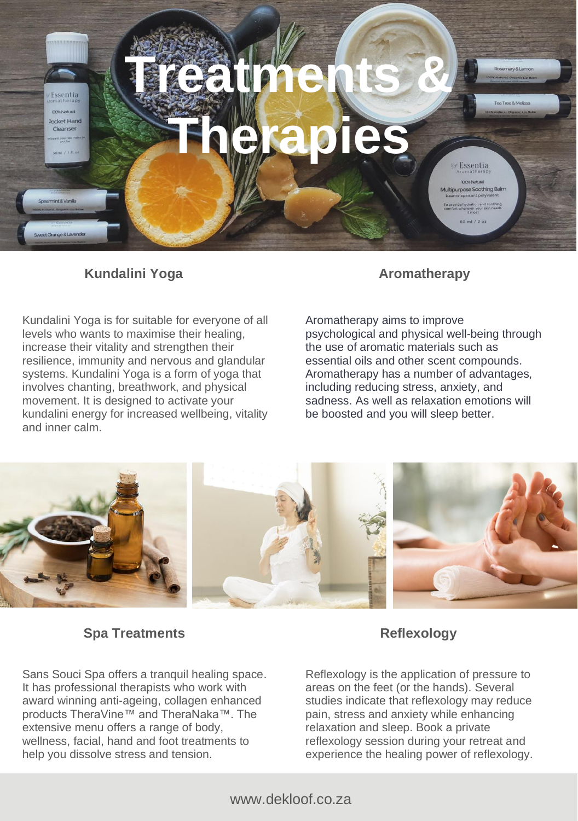

#### **Kundalini Yoga Aromatherapy**

Kundalini Yoga is for suitable for everyone of all levels who wants to maximise their healing, increase their vitality and strengthen their resilience, immunity and nervous and glandular systems. Kundalini Yoga is a form of yoga that involves chanting, breathwork, and physical movement. It is designed to activate your kundalini energy for increased wellbeing, vitality and inner calm.

Aromatherapy aims to improve psychological and physical well-being through the use of aromatic materials such as essential oils and other scent compounds. Aromatherapy has a number of advantages, including reducing stress, anxiety, and sadness. As well as relaxation emotions will be boosted and you will sleep better.



#### **Spa Treatments Reflexology**

Sans Souci Spa offers a tranquil healing space. It has professional therapists who work with award winning anti-ageing, collagen enhanced products TheraVine™ and TheraNaka™. The extensive menu offers a range of body, wellness, facial, hand and foot treatments to help you dissolve stress and tension.

Reflexology is the application of pressure to areas on the feet (or the hands). Several studies indicate that reflexology may reduce pain, stress and anxiety while enhancing relaxation and sleep. Book a private reflexology session during your retreat and experience the healing power of reflexology.